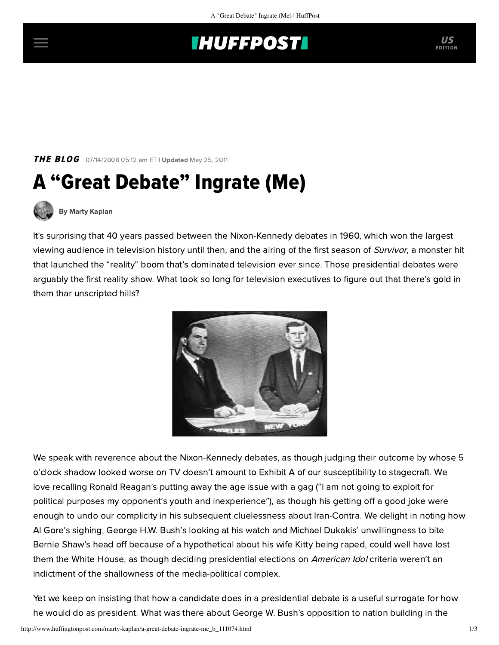## **INUFFPOSTI** US

**THE BLOG** 07/14/2008 05:12 am ET | Updated May 25, 2011

# A "Great Debate" Ingrate (Me)



[By Marty Kaplan](http://www.huffingtonpost.com/author/marty-kaplan)

It's surprising that 40 years passed between the Nixon-Kennedy debates in 1960, which won the largest viewing audience in television history until then, and the airing of the first season of Survivor, a monster hit that launched the "reality" boom that's dominated television ever since. Those presidential debates were arguably the first reality show. What took so long for television executives to figure out that there's gold in them thar unscripted hills?



We speak with reverence about the Nixon-Kennedy debates, as though judging their outcome by whose 5 o'clock shadow looked worse on TV doesn't amount to Exhibit A of our susceptibility to stagecraft. We love recalling Ronald Reagan's putting away the age issue with a gag ("I am not going to exploit for political purposes my opponent's youth and inexperience"), as though his getting off a good joke were enough to undo our complicity in his subsequent cluelessness about Iran-Contra. We delight in noting how Al Gore's sighing, George H.W. Bush's looking at his watch and Michael Dukakis' unwillingness to bite Bernie Shaw's head off because of a hypothetical about his wife Kitty being raped, could well have lost them the White House, as though deciding presidential elections on American Idol criteria weren't an indictment of the shallowness of the media-political complex.

Yet we keep on insisting that how a candidate does in a presidential debate is a useful surrogate for how he would do as president. What was there about George W. Bush's opposition to nation building in the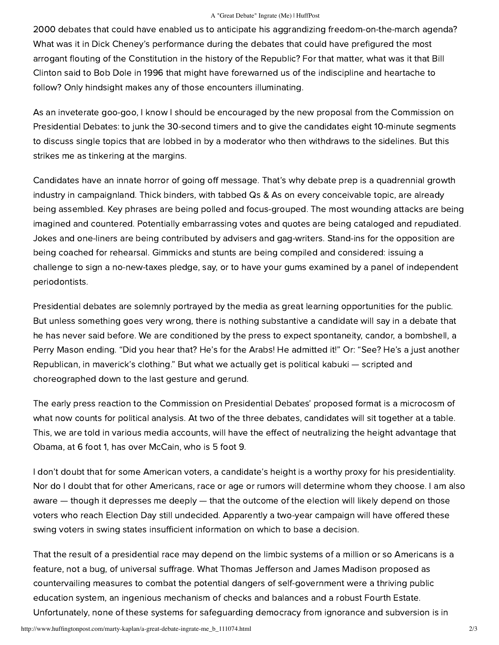#### A "Great Debate" Ingrate (Me) | HuffPost

2000 debates that could have enabled us to anticipate his aggrandizing freedom-on-the-march agenda? What was it in Dick Cheney's performance during the debates that could have prefigured the most arrogant flouting of the Constitution in the history of the Republic? For that matter, what was it that Bill Clinton said to Bob Dole in 1996 that might have forewarned us of the indiscipline and heartache to follow? Only hindsight makes any of those encounters illuminating.

As an inveterate goo-goo, I know I should be encouraged by the new proposal from the Commission on Presidential Debates: to junk the 30-second timers and to give the candidates eight 10-minute segments to discuss single topics that are lobbed in by a moderator who then withdraws to the sidelines. But this strikes me as tinkering at the margins.

Candidates have an innate horror of going off message. That's why debate prep is a quadrennial growth industry in campaignland. Thick binders, with tabbed Qs & As on every conceivable topic, are already being assembled. Key phrases are being polled and focus-grouped. The most wounding attacks are being imagined and countered. Potentially embarrassing votes and quotes are being cataloged and repudiated. Jokes and one-liners are being contributed by advisers and gag-writers. Stand-ins for the opposition are being coached for rehearsal. Gimmicks and stunts are being compiled and considered: issuing a challenge to sign a no-new-taxes pledge, say, or to have your gums examined by a panel of independent periodontists.

Presidential debates are solemnly portrayed by the media as great learning opportunities for the public. But unless something goes very wrong, there is nothing substantive a candidate will say in a debate that he has never said before. We are conditioned by the press to expect spontaneity, candor, a bombshell, a Perry Mason ending. "Did you hear that? He's for the Arabs! He admitted it!" Or: "See? He's a just another Republican, in maverick's clothing." But what we actually get is political kabuki — scripted and choreographed down to the last gesture and gerund.

The early press reaction to the Commission on Presidential Debates' proposed format is a microcosm of what now counts for political analysis. At two of the three debates, candidates will sit together at a table. This, we are told in various media accounts, will have the effect of neutralizing the height advantage that Obama, at 6 foot 1, has over McCain, who is 5 foot 9.

I don't doubt that for some American voters, a candidate's height is a worthy proxy for his presidentiality. Nor do I doubt that for other Americans, race or age or rumors will determine whom they choose. I am also aware — though it depresses me deeply — that the outcome of the election will likely depend on those voters who reach Election Day still undecided. Apparently a two-year campaign will have offered these swing voters in swing states insufficient information on which to base a decision.

That the result of a presidential race may depend on the limbic systems of a million or so Americans is a feature, not a bug, of universal suffrage. What Thomas Jefferson and James Madison proposed as countervailing measures to combat the potential dangers of self-government were a thriving public education system, an ingenious mechanism of checks and balances and a robust Fourth Estate. Unfortunately, none of these systems for safeguarding democracy from ignorance and subversion is in